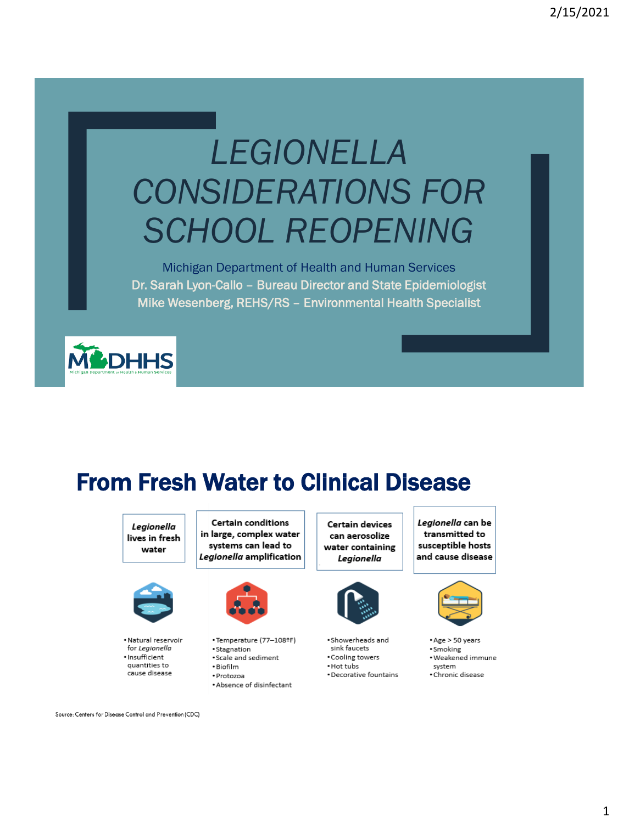# LEGIONELLA **CONSIDERATIONS FOR SCHOOL REOPENING**

Michigan Department of Health and Human Services Dr. Sarah Lyon-Callo - Bureau Director and State Epidemiologist Mike Wesenberg, REHS/RS - Environmental Health Specialist



# **From Fresh Water to Clinical Disease**

Legionella lives in fresh water



. Natural reservoir for Legionella · Insufficient quantities to cause disease

Certain conditions in large, complex water systems can lead to Legionella amplification



- •Temperature (77-108ºF)
- · Stagnation
- · Scale and sediment • Biofilm
- · Protozoa
- . Absence of disinfectant

Certain devices can aerosolize water containing Legionella



- 
- · Showerheads and sink faucets
- · Cooling towers
- Hot tubs
	- Decorative fountains

Legionella can be transmitted to susceptible hosts and cause disease



\*Age > 50 years · Smoking · Weakened immune system · Chronic disease

Source: Centers for Disease Control and Prevention (CDC)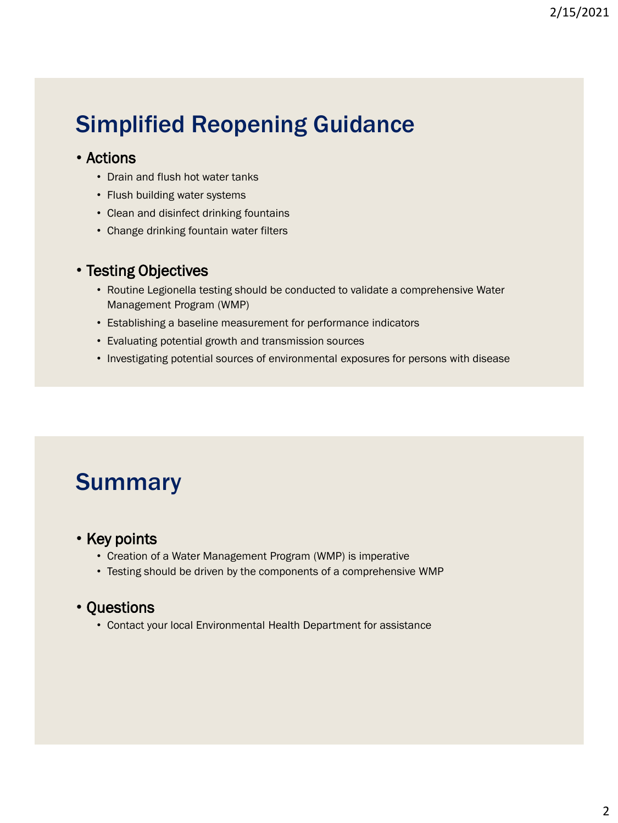# Simplified Reopening Guidance

#### • Actions

- Drain and flush hot water tanks
- Flush building water systems
- Clean and disinfect drinking fountains
- Change drinking fountain water filters

#### • Testing Objectives

- Routine Legionella testing should be conducted to validate a comprehensive Water Management Program (WMP)
- Establishing a baseline measurement for performance indicators
- Evaluating potential growth and transmission sources
- Investigating potential sources of environmental exposures for persons with disease

### Summary

#### • Key points

- Creation of a Water Management Program (WMP) is imperative
- Testing should be driven by the components of a comprehensive WMP

#### • Questions

• Contact your local Environmental Health Department for assistance